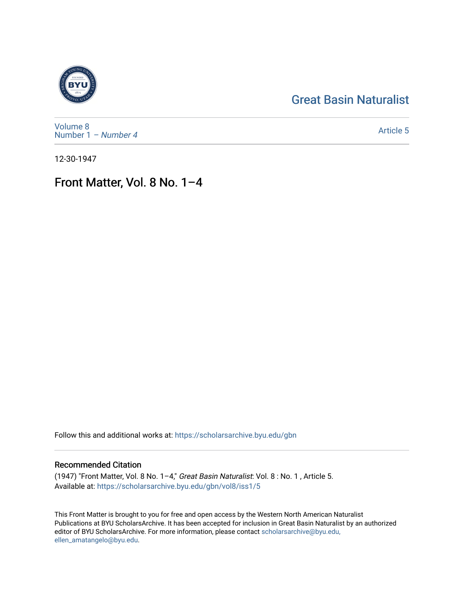# [Great Basin Naturalist](https://scholarsarchive.byu.edu/gbn)



[Volume 8](https://scholarsarchive.byu.edu/gbn/vol8) [Number 1](https://scholarsarchive.byu.edu/gbn/vol8/iss1) – Number 4

[Article 5](https://scholarsarchive.byu.edu/gbn/vol8/iss1/5) 

12-30-1947

# Front Matter, Vol. 8 No. 1–4

Follow this and additional works at: [https://scholarsarchive.byu.edu/gbn](https://scholarsarchive.byu.edu/gbn?utm_source=scholarsarchive.byu.edu%2Fgbn%2Fvol8%2Fiss1%2F5&utm_medium=PDF&utm_campaign=PDFCoverPages) 

### Recommended Citation

(1947) "Front Matter, Vol. 8 No. 1–4," Great Basin Naturalist: Vol. 8 : No. 1 , Article 5. Available at: [https://scholarsarchive.byu.edu/gbn/vol8/iss1/5](https://scholarsarchive.byu.edu/gbn/vol8/iss1/5?utm_source=scholarsarchive.byu.edu%2Fgbn%2Fvol8%2Fiss1%2F5&utm_medium=PDF&utm_campaign=PDFCoverPages) 

This Front Matter is brought to you for free and open access by the Western North American Naturalist Publications at BYU ScholarsArchive. It has been accepted for inclusion in Great Basin Naturalist by an authorized editor of BYU ScholarsArchive. For more information, please contact [scholarsarchive@byu.edu,](mailto:scholarsarchive@byu.edu,%20ellen_amatangelo@byu.edu) [ellen\\_amatangelo@byu.edu](mailto:scholarsarchive@byu.edu,%20ellen_amatangelo@byu.edu).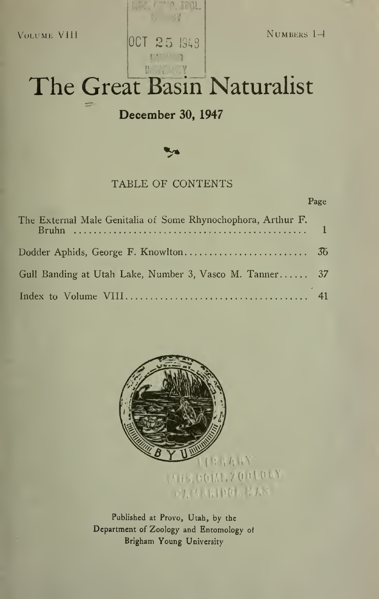Volume Vlll

OCT 25  $\vert$ 948 Numbers 1-4

# The Great Basin Naturalist

 $\mathbb{R}$ .  $\mathbb{R}$ .

## December 30, 1947

V

### TABLE OF CONTENTS

#### Page

| The External Male Genitalia of Some Rhynochophora, Arthur F. |  |
|--------------------------------------------------------------|--|
|                                                              |  |
| Gull Banding at Utah Lake, Number 3, Vasco M. Tanner 37      |  |
|                                                              |  |



Published at Provo, Utah, by the Department of Zoology and Entomology of Brigham Young University